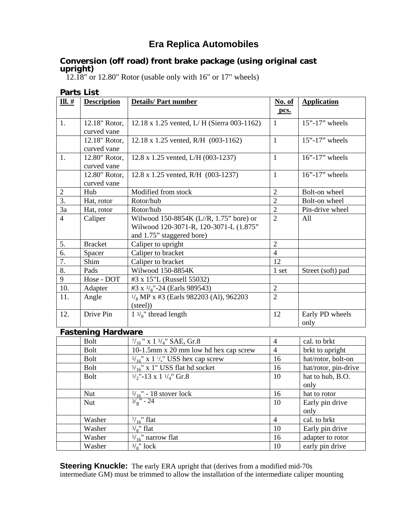# **Era Replica Automobiles**

### **Conversion (off road) front brake package (using original cast upright)**

12.18" or 12.80" Rotor (usable only with 16" or 17" wheels)

| <b>Parts List</b>         |                              |                                                                                                                |                |                         |  |  |  |
|---------------------------|------------------------------|----------------------------------------------------------------------------------------------------------------|----------------|-------------------------|--|--|--|
| $III.$ #                  | <b>Description</b>           | <b>Details/Part number</b>                                                                                     | No. of<br>pcs. | <b>Application</b>      |  |  |  |
| 1.                        | 12.18" Rotor,<br>curved vane | 12.18 x 1.25 vented, L/H (Sierra 003-1162)                                                                     | $\mathbf{1}$   | $15"$ -17" wheels       |  |  |  |
|                           | 12.18" Rotor,<br>curved vane | 12.18 x 1.25 vented, R/H (003-1162)                                                                            | $\mathbf{1}$   | $15"$ -17" wheels       |  |  |  |
| 1.                        | 12.80" Rotor,<br>curved vane | $12.8 \times 1.25$ vented, L/H (003-1237)                                                                      | $\mathbf{1}$   | $16"$ -17" wheels       |  |  |  |
|                           | 12.80" Rotor,<br>curved vane | 12.8 x 1.25 vented, R/H (003-1237)                                                                             | $\mathbf{1}$   | $16"$ -17" wheels       |  |  |  |
| $\overline{2}$            | Hub                          | Modified from stock                                                                                            | $\overline{2}$ | Bolt-on wheel           |  |  |  |
| 3.                        | Hat, rotor                   | Rotor/hub                                                                                                      | $\overline{2}$ | Bolt-on wheel           |  |  |  |
| 3a                        | Hat, rotor                   | Rotor/hub                                                                                                      | $\overline{2}$ | Pin-drive wheel         |  |  |  |
| $\overline{4}$            | Caliper                      | Wilwood 150-8854K (L//R, 1.75" bore) or<br>Wilwood 120-3071-R, 120-3071-L (1.875"<br>and 1.75" staggered bore) | $\overline{2}$ | All                     |  |  |  |
| 5.                        | <b>Bracket</b>               | Caliper to upright                                                                                             | $\overline{2}$ |                         |  |  |  |
| 6.                        | Spacer                       | Caliper to bracket                                                                                             | $\overline{4}$ |                         |  |  |  |
| 7.                        | Shim                         | Caliper to bracket                                                                                             | 12             |                         |  |  |  |
| 8.                        | Pads                         | Wilwood 150-8854K                                                                                              | 1 set          | Street (soft) pad       |  |  |  |
| 9                         | Hose - DOT                   | #3 x 15"L (Russell 55032)                                                                                      |                |                         |  |  |  |
| 10.                       | Adapter                      | #3 x $\frac{3}{8}$ "-24 (Earls 989543)                                                                         | $\sqrt{2}$     |                         |  |  |  |
| 11.                       | Angle                        | $\frac{1}{8}$ MP x #3 (Earls 982203 (Al), 962203<br>$(\text{steel})$                                           | $\overline{2}$ |                         |  |  |  |
| 12.                       | Drive Pin                    | $1 \frac{3}{8}$ " thread length                                                                                | 12             | Early PD wheels<br>only |  |  |  |
| <b>Fastening Hardware</b> |                              |                                                                                                                |                |                         |  |  |  |
|                           | <b>Bolt</b>                  | $\frac{7}{16}$ " x 1 $\frac{3}{4}$ " SAE, Gr.8                                                                 | $\overline{4}$ | cal. to brkt            |  |  |  |
|                           |                              |                                                                                                                |                |                         |  |  |  |

| Bolt        | $\frac{7}{16}$ " x 1 $\frac{3}{4}$ " SAE, Gr.8               | $\overline{4}$ | cal. to brkt         |
|-------------|--------------------------------------------------------------|----------------|----------------------|
| <b>Bolt</b> | 10-1.5mm x 20 mm low hd hex cap screw                        | $\overline{4}$ | brkt to upright      |
| Bolt        | $5/16$ " x 1 <sup>1</sup> / <sub>4</sub> " USS hex cap screw | 16             | hat/rotor, bolt-on   |
| Bolt        | $5/16$ " x 1" USS flat hd socket                             | 16             | hat/rotor, pin-drive |
| Bolt        | $1/2$ "-13 x 1 $1/4$ " Gr.8                                  | 10             | hat to hub, B.O.     |
|             |                                                              |                | only                 |
| Nut         | $5/16$ " - 18 stover lock                                    | 16             | hat to rotor         |
| <b>Nut</b>  | $3\frac{1}{8}$ - 24                                          | 10             | Early pin drive      |
|             |                                                              |                | only                 |
| Washer      | $\frac{7}{16}$ " flat                                        | $\overline{4}$ | cal. to brkt         |
| Washer      | $3\frac{1}{8}$ " flat                                        | 10             | Early pin drive      |
| Washer      | $\frac{5}{16}$ " narrow flat                                 | 16             | adapter to rotor     |
| Washer      | $\frac{3}{8}$ " lock                                         | 10             | early pin drive      |

**Steering Knuckle:** The early ERA upright that (derives from a modified mid-70s) intermediate GM) must be trimmed to allow the installation of the intermediate caliper mounting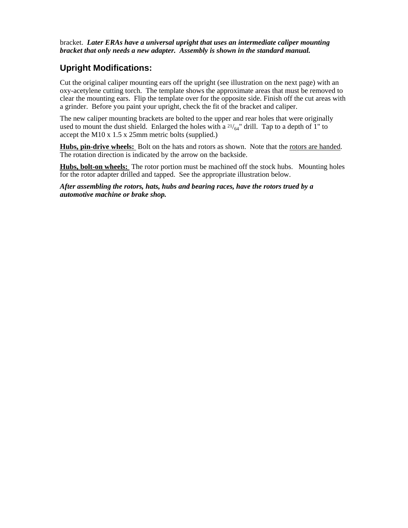bracket. *Later ERAs have a universal upright that uses an intermediate caliper mounting bracket that only needs a new adapter. Assembly is shown in the standard manual.*

## **Upright Modifications:**

Cut the original caliper mounting ears off the upright (see illustration on the next page) with an oxy-acetylene cutting torch. The template shows the approximate areas that must be removed to clear the mounting ears. Flip the template over for the opposite side. Finish off the cut areas with a grinder. Before you paint your upright, check the fit of the bracket and caliper.

The new caliper mounting brackets are bolted to the upper and rear holes that were originally used to mount the dust shield. Enlarged the holes with a  $21/64$ " drill. Tap to a depth of 1" to accept the M10 x 1.5 x 25mm metric bolts (supplied.)

Hubs, pin-drive wheels: Bolt on the hats and rotors as shown. Note that the rotors are handed. The rotation direction is indicated by the arrow on the backside.

**Hubs, bolt-on wheels:** The rotor portion must be machined off the stock hubs. Mounting holes for the rotor adapter drilled and tapped. See the appropriate illustration below.

*After assembling the rotors, hats, hubs and bearing races, have the rotors trued by a automotive machine or brake shop.*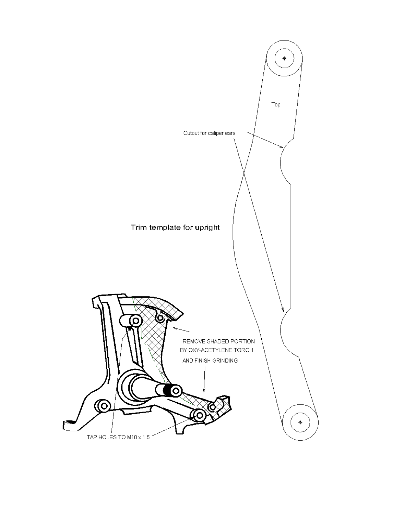